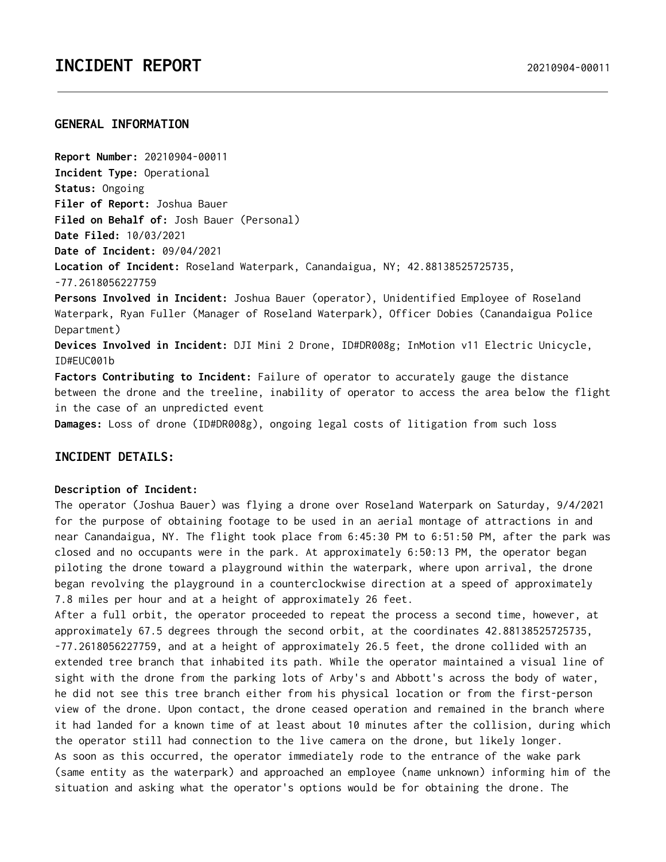## **GENERAL INFORMATION**

**Report Number:** 20210904-00011 **Incident Type:** Operational **Status:** Ongoing **Filer of Report:** Joshua Bauer **Filed on Behalf of:** Josh Bauer (Personal) **Date Filed:** 10/03/2021 **Date of Incident:** 09/04/2021 **Location of Incident:** Roseland Waterpark, Canandaigua, NY; 42.88138525725735, -77.2618056227759 **Persons Involved in Incident:** Joshua Bauer (operator), Unidentified Employee of Roseland Waterpark, Ryan Fuller (Manager of Roseland Waterpark), Officer Dobies (Canandaigua Police Department) **Devices Involved in Incident:** DJI Mini 2 Drone, ID#DR008g; InMotion v11 Electric Unicycle, ID#EUC001b **Factors Contributing to Incident:** Failure of operator to accurately gauge the distance between the drone and the treeline, inability of operator to access the area below the flight

in the case of an unpredicted event

**Damages:** Loss of drone (ID#DR008g), ongoing legal costs of litigation from such loss

# **INCIDENT DETAILS:**

### **Description of Incident:**

The operator (Joshua Bauer) was flying a drone over Roseland Waterpark on Saturday, 9/4/2021 for the purpose of obtaining footage to be used in an aerial montage of attractions in and near Canandaigua, NY. The flight took place from 6:45:30 PM to 6:51:50 PM, after the park was closed and no occupants were in the park. At approximately 6:50:13 PM, the operator began piloting the drone toward a playground within the waterpark, where upon arrival, the drone began revolving the playground in a counterclockwise direction at a speed of approximately 7.8 miles per hour and at a height of approximately 26 feet.

After a full orbit, the operator proceeded to repeat the process a second time, however, at approximately 67.5 degrees through the second orbit, at the coordinates 42.88138525725735, -77.2618056227759, and at a height of approximately 26.5 feet, the drone collided with an extended tree branch that inhabited its path. While the operator maintained a visual line of sight with the drone from the parking lots of Arby's and Abbott's across the body of water, he did not see this tree branch either from his physical location or from the first-person view of the drone. Upon contact, the drone ceased operation and remained in the branch where it had landed for a known time of at least about 10 minutes after the collision, during which the operator still had connection to the live camera on the drone, but likely longer. As soon as this occurred, the operator immediately rode to the entrance of the wake park (same entity as the waterpark) and approached an employee (name unknown) informing him of the situation and asking what the operator's options would be for obtaining the drone. The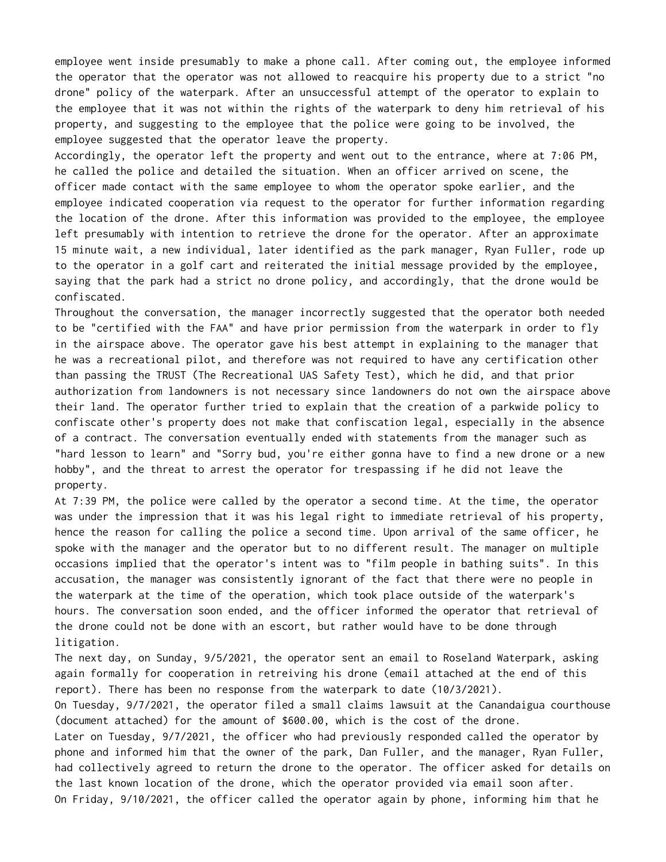employee went inside presumably to make a phone call. After coming out, the employee informed the operator that the operator was not allowed to reacquire his property due to a strict "no drone" policy of the waterpark. After an unsuccessful attempt of the operator to explain to the employee that it was not within the rights of the waterpark to deny him retrieval of his property, and suggesting to the employee that the police were going to be involved, the employee suggested that the operator leave the property.

Accordingly, the operator left the property and went out to the entrance, where at 7:06 PM, he called the police and detailed the situation. When an officer arrived on scene, the officer made contact with the same employee to whom the operator spoke earlier, and the employee indicated cooperation via request to the operator for further information regarding the location of the drone. After this information was provided to the employee, the employee left presumably with intention to retrieve the drone for the operator. After an approximate 15 minute wait, a new individual, later identified as the park manager, Ryan Fuller, rode up to the operator in a golf cart and reiterated the initial message provided by the employee, saying that the park had a strict no drone policy, and accordingly, that the drone would be confiscated.

Throughout the conversation, the manager incorrectly suggested that the operator both needed to be "certified with the FAA" and have prior permission from the waterpark in order to fly in the airspace above. The operator gave his best attempt in explaining to the manager that he was a recreational pilot, and therefore was not required to have any certification other than passing the TRUST (The Recreational UAS Safety Test), which he did, and that prior authorization from landowners is not necessary since landowners do not own the airspace above their land. The operator further tried to explain that the creation of a parkwide policy to confiscate other's property does not make that confiscation legal, especially in the absence of a contract. The conversation eventually ended with statements from the manager such as "hard lesson to learn" and "Sorry bud, you're either gonna have to find a new drone or a new hobby", and the threat to arrest the operator for trespassing if he did not leave the property.

At 7:39 PM, the police were called by the operator a second time. At the time, the operator was under the impression that it was his legal right to immediate retrieval of his property, hence the reason for calling the police a second time. Upon arrival of the same officer, he spoke with the manager and the operator but to no different result. The manager on multiple occasions implied that the operator's intent was to "film people in bathing suits". In this accusation, the manager was consistently ignorant of the fact that there were no people in the waterpark at the time of the operation, which took place outside of the waterpark's hours. The conversation soon ended, and the officer informed the operator that retrieval of the drone could not be done with an escort, but rather would have to be done through litigation.

The next day, on Sunday, 9/5/2021, the operator sent an email to Roseland Waterpark, asking again formally for cooperation in retreiving his drone (email attached at the end of this report). There has been no response from the waterpark to date (10/3/2021).

On Tuesday, 9/7/2021, the operator filed a small claims lawsuit at the Canandaigua courthouse (document attached) for the amount of \$600.00, which is the cost of the drone.

Later on Tuesday, 9/7/2021, the officer who had previously responded called the operator by phone and informed him that the owner of the park, Dan Fuller, and the manager, Ryan Fuller, had collectively agreed to return the drone to the operator. The officer asked for details on the last known location of the drone, which the operator provided via email soon after. On Friday, 9/10/2021, the officer called the operator again by phone, informing him that he